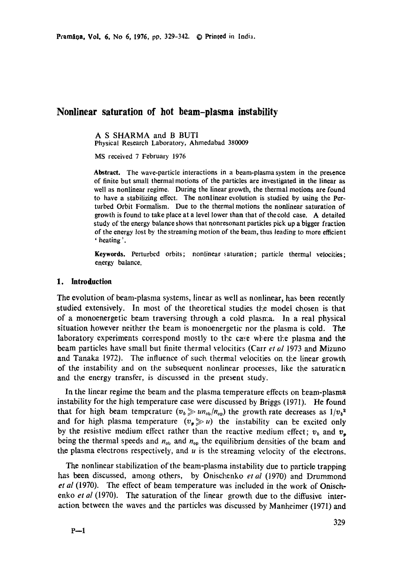# **Nonlinear saturation of hot beam-plasma instability**

A S SHARMA and B BUTI

Physical Research Laboratory, Ahmedabad 380009

MS received 7 February 1976

Abstract. The wave-particle interactions in a beam-plasma system in the presence of finite but small thermal motions of the particles are investigated in the linear as well as nonlinear regime. During the linear growth, the thermal motions are found to have a stabilizing effect. The nonlinear evolution is studied by using the Perturbed Orbit Formalism. Due to the thermal motions the nonlinear saturation of growth is found to take place at a level lower than that of thecold case. A detailed study of the energy balance shows that nonresonant particles pick up a bigger fraction of the energy lost by the streaming motion of the beam, thus leading to more efficient ' heating'.

**Keywords.** Perturbed orbits; nonlinear saturation; particle thermal velocities; energy balance.

### **1. Introduction**

The evolution of beam-plasma systems, linear as well as nonlinear, has been recently studied extensively. In most of the theoretical studies the model chosen is that of a monoenergetic beam traversing through a cold plasma. In a real physical situation however neither the beam is monoenergetic nor the plasma is cold. The laboratory experiments correspond mostly to the case where the plasma and the beam particles have small but finite thermal velocities (Carr *et al* 1973 and Mizuno and Tanaka 1972). The influence of such thermal velocities on the linear growth of the instability and on the subsequent nonlinear processes, like the saturaticn and the energy transfer, is discussed in the present study.

In the linear regime the beam and the plasma temperature effects on beam-plasma instability for the high temperature case were discussed by Briggs (1971). He found that for high beam temperature  $(v_b \gg u n_{ob}/n_{ob})$  the growth rate decreases as  $1/v_b^2$ and for high plasma temperature  $(v_p \gg u)$  the instability can be excited only by the resistive medium effect rather than the reactive medium effect;  $v<sub>b</sub>$  and  $v<sub>p</sub>$ being the thermal speeds and  $n_{\text{ob}}$  and  $n_{\text{ob}}$  the equilibrium densities of the beam and the plasma electrons respectively, and  $u$  is the streaming velocity of the electrons.

The nonlinear stabilization of the beam-plasma instability due to particle trapping has been discussed, among others, by Onischenko *et al* (1970) and Drummond *et al* (1970). The effect of beam temperature was included in the work of Onischenko *et al* (1970). The saturation of the linear growth due to the diffusive interaction between the waves and the particles was discussed by Manheimer (1971) and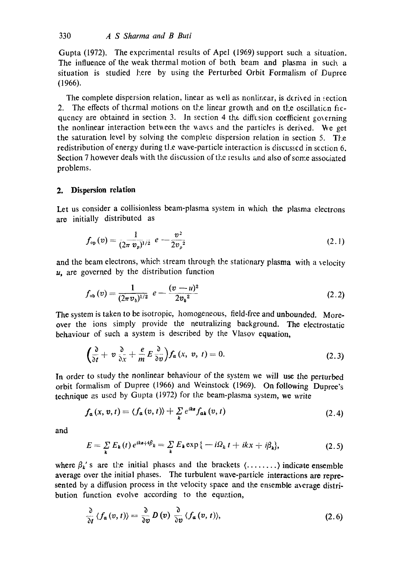Gupta (1972). The experimental results of Apel (1969) support such a situation. The influence of the weak thermal motion of both beam and plasma in such a situation is studied here by using the Perturbed Orbit Formalism of Dupree (1966).

The complete dispersion relation, linear as well as nonlinear, is derived in section 2. The effects of thermal motions on the linear growth and on the oscillation fiequency are obtained in section 3. In section 4 the diffusion coefficient governing the nonlinear interaction between the waves and the particles is derived. We get the saturation level by solving the complete dispersion relation in section 5. The redistribution of energy during tl.e wave-particle interaction is discussed in section 6. Section 7 however deals with the discussion of the results and also of some associated problems.

## **2. Dispersion relation**

Let us consider a collisionless beam-plasma system in which the plasma electrons are initially distributed as

$$
f_{\rm op}(v) = \frac{1}{(2\pi v_p)^{1/2}} e^{-\frac{v^2}{2v_p^2}}
$$
 (2.1)

and the beam electrons, which stream through the stationary plasma with a velocity  $u$ , are governed by the distribution function

$$
f_{\text{ob}}(v) = \frac{1}{(2\pi v_b)^{1/2}} e - \frac{(v - u)^2}{2v_b^2}
$$
 (2.2)

The system is taken to be isotropic, homogeneous, field-free and unbounded. Moreover the ions simply provide the neutralizing background. The electrostatic behaviour of such a system is described by the Vlasov equation,

$$
\left(\frac{\partial}{\partial t} + v \frac{\partial}{\partial x} + \frac{e}{m} E \frac{\partial}{\partial v}\right) f_a(x, v, t) = 0. \tag{2.3}
$$

In order to study the nonlinear behaviour of the system we will use *the* perturbed orbit formalism of Dupree (1966) and Weinstock (1969). On following Dupree's technique as used by Gupta (1972) for the beam-plasma system, we write

$$
f_{a}(x, v, t) = \langle f_{a}(v, t) \rangle + \sum_{k} e^{iks} f_{ak}(v, t)
$$
\n(2.4)

and

$$
E = \sum_{k} E_k(t) e^{ikz + i\beta_k} = \sum_{k} E_k \exp\{-i\Omega_k t + ikx + i\beta_k\},\tag{2.5}
$$

where  $\beta_k$ 's are the initial phases and the brackets  $(\dots, \dots)$  indicate ensemble average over the initial phases. The turbulent wave-particle interactions are represented by a diffusion process in the velocity space and the ensemble average distribution function evolve according to the equation,

$$
\frac{\partial}{\partial t} \langle f_a(v, t) \rangle = \frac{\partial}{\partial v} D(v) \frac{\partial}{\partial v} \langle f_a(v, t) \rangle, \tag{2.6}
$$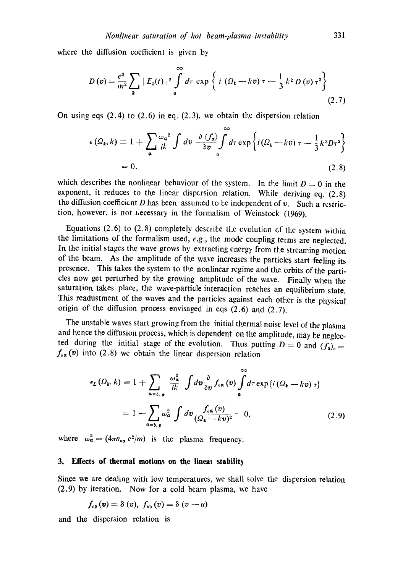where the diffusion coefficient is given by

$$
D(v) = \frac{e^2}{m^2} \sum_{k} |E_k(t)|^2 \int_0^{\infty} d\tau \exp \left\{ i \left( \Omega_k - kv \right) \tau - \frac{1}{3} k^2 D(v) \tau^3 \right\}
$$
\n(2.7)

On using eqs (2.4) to (2.6) in eq. (2.3), we obtain the dispersion relation

$$
\epsilon(\Omega_k, k) \equiv 1 + \sum_{\mathbf{a}} \frac{\omega_{\mathbf{a}}^2}{ik} \int dv \frac{\partial \langle f_{\mathbf{a}} \rangle}{\partial v} \int d\tau \exp \left\{ i(\Omega_k - kv) \tau - \frac{1}{3} k^2 D \tau^3 \right\}
$$
  
= 0. (2.8)

which describes the nonlinear behaviour of the system. In the limit  $D=0$  in the exponent, it reduces to the linear dispersion relation. While deriving eq. (2.8) the diffusion coefficient  $D$  has been assumed to be independent of  $v$ . Such a restriction, however, is not *Lecessary* in the formalism of Weinstock (1969).

Equations (2.6) to (2.8) completely describe the evolution of the system within the limitations of the formalism used, *e.g.,* the mode coupling terms are neglected. In the initial stages the wave grows by extracting energy from the streaming motion of the beam. As the amplitude of the wave increases the particles start feeling its presence. This takes the system to the nonlinear regime and the orbits of the particles now get perturbed by the growing amplitude of the wave. Finally when the saturation takes place, the wave-particle interaction reaches an equilibrium **state.**  *This* readustment of the waves and the particles against each other is *the* physical origin of the diffusion process envisaged in eqs (2.6) and (2.7).

The unstable waves start growing from the initial thermal noise level of the plasma and hence the diffusion process, which is dependent on the amplitude, may be neglected during the initial stage of the evolution. Thus putting  $D = 0$  and  $\langle f_a \rangle_o =$  $f_{oa}(v)$  into (2.8) we obtain the linear dispersion relation

$$
\epsilon_{L}(\Omega_{k}, k) \equiv 1 + \sum_{\alpha = b, \mathbf{p}} \frac{\omega_{\alpha}^{2}}{ik} \int d\mathbf{v} \frac{\partial}{\partial v} f_{\alpha}(\mathbf{v}) \int d\tau \exp\left\{i\left(\Omega_{k} - k\mathbf{v}\right) \tau\right\}
$$

$$
= 1 - \sum_{\alpha = b, \mathbf{p}} \omega_{\alpha}^{2} \int d\mathbf{v} \frac{f_{\alpha}(\mathbf{v})}{(\Omega_{k} - k\mathbf{v})^{2}} = 0, \tag{2.9}
$$

where  $\omega_{\alpha}^2 = (4\pi n_{\text{o} \alpha} e^2/m)$  is the plasma frequency.

#### **3. Effects of thermal motions on the lineas stability**

Since we are dealing with low temperatures, we shall solve the dispersion relation (2.9) by iteration. Now for a cold beam plasma, we have

$$
f_{\text{op}}(\mathbf{v}) = \delta(\mathbf{v}), \; f_{\text{op}}(\mathbf{v}) = \delta(\mathbf{v} - \mathbf{u})
$$

and the dispersion relation is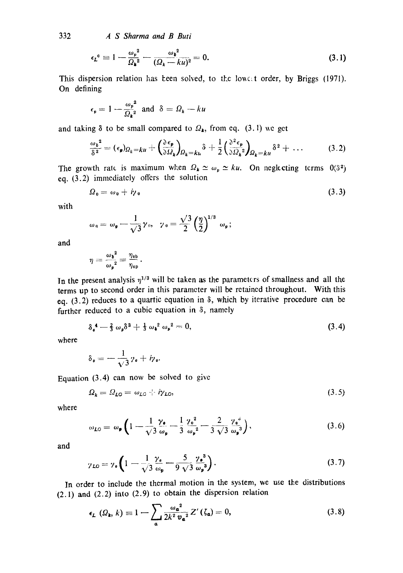332 *A S Sharma and B Buti* 

$$
\epsilon_{\mathbf{L}}^{0} \equiv 1 - \frac{\omega_{\mathbf{p}}^{2}}{\Omega_{\mathbf{k}}^{2}} - \frac{\omega_{\mathbf{b}}^{2}}{(\Omega_{\mathbf{k}} - k\mu)^{2}} = 0. \tag{3.1}
$$

This dispersion relation has been solved, to the lowest order, by Briggs (1971). On defining

$$
\epsilon_p = 1 - \frac{\omega_p^2}{\Omega_k^2}
$$
 and  $\delta = \Omega_k - ku$ 

and taking  $\delta$  to be small compared to  $\Omega_k$ , from eq. (3.1) we get

$$
\frac{\omega_b^2}{\delta^2} = (\epsilon_{\mathbf{p}})_{\Omega_k = k u} + \left(\frac{\partial \epsilon_{\mathbf{p}}}{\partial \Omega_k}\right)_{\Omega_k = k u} \delta + \frac{1}{2} \left(\frac{\partial^2 \epsilon_{\mathbf{p}}}{\partial \Omega_k^2}\right)_{\Omega_k = k u} \delta^2 + \dots \tag{3.2}
$$

The growth rate is maximum when  $\Omega_k \simeq \omega_p \simeq ku$ . On neglecting terms  $0(8^2)$ eq. (3.2) immediately offers the solution

$$
\Omega_0 = \omega_0 + i\gamma_0 \tag{3.3}
$$

with

$$
\omega_0 = \omega_{\mathfrak{p}} - \frac{1}{\sqrt{3}} \gamma_0, \quad \gamma_0 = \frac{\sqrt{3}}{2} \left(\frac{\eta}{2}\right)^{1/3} \omega_{\mathfrak{p}};
$$

and

$$
\eta = \frac{{\omega_{\mathfrak{d}}}^2}{\omega_{\mathfrak{p}}^2} = \frac{\eta_{\rm ob}}{\eta_{\rm op}}.
$$

In the present analysis  $\eta^{1/3}$  will be taken as the parameters of smallness and all the terms up to second order in this parameter will be retained throughout. With this eq.  $(3.2)$  reduces to a quartic equation in  $\delta$ , which by iterative procedure can be further reduced to a cubic equation in 8, namely

$$
\delta_{\mathfrak{g}}^4 - \frac{2}{3} \omega_{\mathfrak{p}} \delta^3 + \frac{1}{3} \omega_{\mathfrak{p}}^2 \omega_{\mathfrak{p}}^2 = 0, \qquad (3.4)
$$

where

$$
\delta_{\mathfrak{o}} = -\frac{1}{\sqrt{3}} \gamma_{\mathfrak{o}} + i \gamma_{\mathfrak{o}}.
$$

Equation (3.4) can now be solved to give

$$
\Omega_k = \Omega_{L0} = \omega_{L0} + i\gamma_{L0},\tag{3.5}
$$

where

$$
\omega_{L0} = \omega_{\mathbf{p}} \left( 1 - \frac{1}{\sqrt{3}} \frac{\gamma_{\mathbf{e}}}{\omega_{\mathbf{p}}} - \frac{1}{3} \frac{\gamma_{\mathbf{e}}^2}{\omega_{\mathbf{p}}^2} - \frac{2}{3} \frac{\gamma_{\mathbf{e}}^3}{\sqrt{3}} \frac{\gamma_{\mathbf{e}}^3}{\omega_{\mathbf{p}}^3} \right), \tag{3.6}
$$

and

$$
\gamma_{LO} = \gamma_{\mathfrak{e}} \left( 1 - \frac{1}{\sqrt{3}} \frac{\gamma_{\mathfrak{e}}}{\omega_{\mathfrak{p}}} - \frac{5}{9} \frac{\gamma_{\mathfrak{e}}^3}{\sqrt{3}} \frac{\gamma_{\mathfrak{e}}^3}{\omega_{\mathfrak{p}}^3} \right). \tag{3.7}
$$

In order to include the thermal motion in the system, we use the distributions (2.1) and (2.2) into (2.9) to obtain the dispersion relation

$$
\epsilon_L\left(Q_{\mathbf{k}},k\right) \equiv 1 - \sum_{\mathbf{a}} \frac{\omega_{\mathbf{a}}^2}{2k^2 \nu_{\mathbf{a}}^2} Z'\left(\zeta_{\mathbf{a}}\right) = 0,\tag{3.8}
$$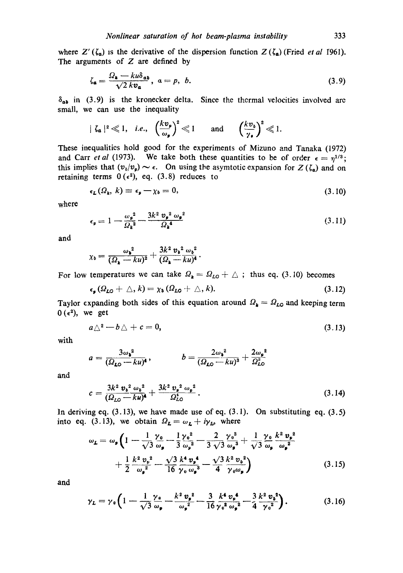where  $Z'(\zeta_a)$  is the derivative of the dispersion function  $Z(\zeta_a)$  (Fried *et al* 1961). The arguments of  $Z$  are defined by

$$
\zeta_{\mathbf{a}} = \frac{\Omega_{\mathbf{k}} - ku\delta_{\mathbf{a}\mathbf{b}}}{\sqrt{2} k v_{\mathbf{a}}}, \ \ a = p, \ \ b. \tag{3.9}
$$

 $\delta_{ab}$  in (3.9) is the kronecker delta. Since the thermal velocities involved are small, we can use the inequality

$$
|\zeta_{a}|^{2} \ll 1
$$
, *i.e.*,  $\left(\frac{k v_{p}}{\omega_{p}}\right)^{2} \ll 1$  and  $\left(\frac{k v_{b}}{\gamma_{e}}\right)^{2} \ll 1$ .

These inequalities hold good for the experiments of Mizuno and Tanaka (1972) and Carr *et al* (1973). We take both these quantities to be of order  $\epsilon = \eta^{1/3}$ ; this implies that  $(v_b/v_p) \sim \epsilon$ . On using the asymtotic expansion for  $Z(\zeta_a)$  and on retaining terms  $0 \times (e^2)$ , eq. (3.8) reduces to

$$
\epsilon_{\mathbf{L}}(\Omega_{\mathbf{k}},\,k)\equiv\epsilon_{\mathbf{p}}-\chi_{b}=0,\tag{3.10}
$$

where

$$
\epsilon_{\mathbf{p}} = 1 - \frac{\omega_{\mathbf{p}}^2}{\Omega_{\mathbf{k}}^2} - \frac{3k^2 \, v_{\mathbf{p}}^2 \, \omega_{\mathbf{p}}^2}{\Omega_{\mathbf{k}}^4} \tag{3.11}
$$

and

$$
\chi_{\mathfrak{d}} = \frac{\omega_{\mathfrak{d}}^2}{(\Omega_{\mathfrak{d}} - ku)^2} + \frac{3k^2 v_{\mathfrak{d}}^2 \omega_{\mathfrak{d}}^2}{(\Omega_{\mathfrak{d}} - ku)^4}.
$$

For low temperatures we can take  $\Omega_k = \Omega_{L0} + \Delta$ ; thus eq. (3.10) becomes

$$
\epsilon_{\mathfrak{s}}(\Omega_{L0} + \triangle, k) = \chi_{\mathfrak{d}}(\Omega_{L0} + \triangle, k). \tag{3.12}
$$

Taylor expanding both sides of this equation around  $\Omega_k = \Omega_{L0}$  and keeping *term*  $0 \ (\epsilon^2)$ , we get

$$
a\triangle^2-b\triangle+c=0,\tag{3.13}
$$

with

$$
a=\frac{3\omega_{\mathbf{b}}^2}{(\Omega_{\mathbf{L}\mathbf{O}}-ku)^4},\qquad b=\frac{2\omega_{\mathbf{b}}^2}{(\Omega_{\mathbf{L}\mathbf{O}}-ku)^3}+\frac{2\omega_{\mathbf{b}}^2}{\Omega_{\mathbf{L}\mathbf{O}}^3}
$$

and

$$
c = \frac{3k^2 v_b^2 \omega_b^2}{(\Omega_{LO} - k\omega)^4} + \frac{3k^2 v_p^2 \omega_p^2}{\Omega_{LO}^4}.
$$
 (3.14)

In deriving eq.  $(3.13)$ , we have made use of eq.  $(3.1)$ . On substituting eq.  $(3.5)$ into eq. (3.13), we obtain  $\Omega_L = \omega_L + i\gamma_L$ , where

$$
\omega_{\mathbf{L}} = \omega_{\mathbf{p}} \left( 1 - \frac{1}{\sqrt{3}} \frac{\gamma_{0}}{\omega_{\mathbf{p}}} - \frac{1}{3} \frac{\gamma_{0}^{2}}{\omega_{\mathbf{p}}^{2}} - \frac{2}{3} \frac{\gamma_{0}^{3}}{\sqrt{3}} \frac{\omega_{\mathbf{p}}^{3}}{\omega_{\mathbf{p}}^{3}} + \frac{1}{\sqrt{3}} \frac{\gamma_{0}}{\omega_{\mathbf{p}}} \frac{k^{2} v_{\mathbf{p}}^{2}}{\omega_{\mathbf{p}}^{2}} + \frac{1}{2} \frac{k^{2} v_{0}^{2}}{\omega_{\mathbf{p}}^{2}} - \frac{\sqrt{3}}{16} \frac{k^{4} v_{\mathbf{p}}^{4}}{\gamma_{0} \omega_{\mathbf{p}}^{3}} - \frac{\sqrt{3}}{4} \frac{k^{2} v_{0}^{2}}{\gamma_{0} \omega_{\mathbf{p}}} \right)
$$
\n(3.15)

and

$$
\gamma_L = \gamma_0 \left( 1 - \frac{1}{\sqrt{3}} \frac{\gamma_0}{\omega_p} - \frac{k^2 v_p^2}{\omega_p^2} - \frac{3}{16} \frac{k^4 v_p^4}{\gamma_0^2 \omega_p^2} - \frac{3}{4} \frac{k^2 v_b^2}{\gamma_0^2} \right). \tag{3.16}
$$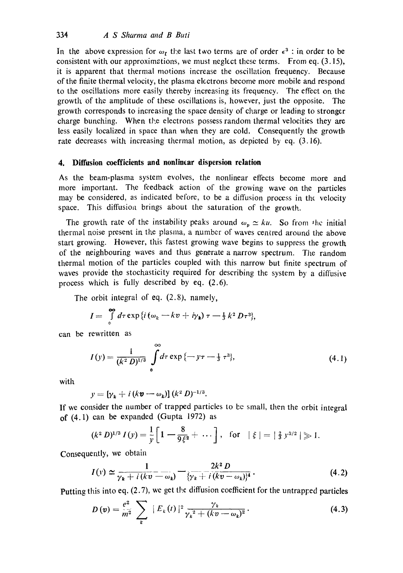In the above expression for  $\omega_t$  the last two terms are of order  $\epsilon^3$  : in order to be consistent with our approximations, we must neglect thcse terms. From eq. (3.15), it is apparent that thermal motions increase the oscillation frequency. Because of the finite thermal velocity, the plasma electrons become more mobile and respond to the oscillations more easily thereby increasing its frequency. The effect on the growth of the amplitude of these oscillations is, however, just the opposite. The growth corresponds to increasing the space density of charge or leading to stronger charge bunching. When the electrons possess random thermal velocities they are less easily localized in space than when they are cold. Consequently the growth rate decreases with increasing thermal motion, as depicted by eq. (3.16).

### **4. Diffusion coefficients and nonlinear dispersion relation**

As the beam-plasma system evolves, the nonlinear effects become more and more important. The feedback action of the growing wave on the particles may be considered, as indicated before, to be a diffusion process in the velocity space. This diffusion brings about the saturation of the growth.

The growth rate of the instability peaks around  $\omega_n \simeq ku$ . So from the initial thermal noise present in the plasma, a number of waves centred around the above start growing. However, this fastest growing wave begins to suppress the growth of the neighbouring waves and thus generate a narrow spectrum. The random thermal motion of the particles coupled with this narrow but finite spectrum of waves provide the stochasticity required for describing the system by a diffusive process which is fully described by eq. (2.6).

The orbit integral of eq. (2.8), namely,

$$
I = \int\limits_{0}^{\infty} d\tau \exp\left\{i\left(\omega_k - kv + i\gamma_k\right)\tau - \frac{1}{3}k^2 D\tau^3\right\},\,
$$

can be rewritten as

$$
I(y) = \frac{1}{(k^2 D)^{1/3}} \int_{0}^{\infty} d\tau \exp\{-y\tau - \frac{1}{3}\tau^3\},
$$
 (4.1)

with

$$
y=[\gamma_k+i(k\mathbf{v}-\omega_k)](k^2 D)^{-1/3}.
$$

If we consider the number of trapped particles to be small, then the orbit integral of (4.1) can be expanded (Gupta 1972) as

$$
(k^2 D)^{1/3} I(y) = \frac{1}{y} \left[ 1 - \frac{8}{9\xi^2} + \cdots \right], \text{ for } |\xi| = |\frac{2}{3} y^{3/2}| \geqslant 1.
$$

Consequently, we obtain

$$
I(v) \simeq \frac{1}{\gamma_k + i(kv - \omega_k)} - \frac{2k^2 D}{\{\gamma_k + i(kv - \omega_k)\}^4}.
$$
 (4.2)

Putting this into eq.  $(2.7)$ , we get the diffusion coefficient for the untrapped particles

$$
D(v) = \frac{e^2}{m^2} \sum_{k} |E_k(t)|^2 \frac{\gamma_k}{\gamma_k^2 + (kv - \omega_k)^2}.
$$
 (4.3)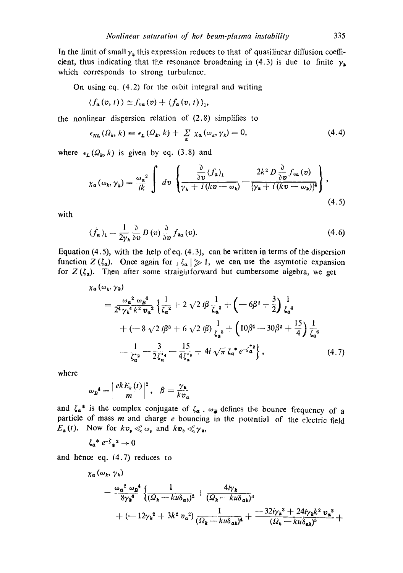In the limit of small  $\gamma_k$  this expression reduces to that of quasilinear diffusion coefficient, thus indicating that the resonance broadening in (4.3) is due to finite  $\gamma_k$ which corresponds to strong turbulence.

On using eq. (4.2) for the orbit integral and writing

$$
\langle f_{\mathbf{a}}(v, t) \rangle \simeq f_{\mathbf{0} \mathbf{a}}(v) + \langle f_{\mathbf{a}}(v, t) \rangle_1,
$$

the nonlinear dispersion relation of (2.8) simplifies to

$$
\epsilon_{NL}(\Omega_k, k) \equiv \epsilon_L(\Omega_k, k) + \sum_{\alpha} \chi_{\alpha}(\omega_k, \gamma_k) = 0, \qquad (4.4)
$$

where  $\epsilon_L(\Omega_k, k)$  is given by eq. (3.8) and

$$
\chi_{\mathfrak{a}}(\omega_{k},\gamma_{k})=\frac{\omega_{\mathfrak{a}}^{2}}{ik}\int dv\left\{\frac{\frac{\partial}{\partial v}\langle f_{\mathfrak{a}}\rangle_{1}}{\gamma_{k}+i(kv-\omega_{k})}-\frac{2k^{2}D\frac{\partial}{\partial v}f_{0\mathfrak{a}}(v)}{\{\gamma_{k}+i(kv-\omega_{k})\}^{4}}\right\},\tag{4.5}
$$

with

$$
\langle f_{\mathbf{a}} \rangle_1 = \frac{1}{2\gamma_{\mathbf{k}}} \frac{\partial}{\partial v} D(v) \frac{\partial}{\partial v} f_{\mathbf{0}\mathbf{a}}(v). \tag{4.6}
$$

Equation (4.5), with the help of eq.  $(4.3)$ , can be written in terms of the dispersion function  $Z(\zeta_a)$ . Once again for  $|\zeta_a| \gg 1$ , we can use the asymtotic expansion for  $Z(\zeta_a)$ . Then after some straightforward but cumbersome algebra, we get

$$
\chi_{a}(\omega_{k}, \gamma_{k})
$$
\n
$$
= \frac{\omega_{a}^{2} \omega_{B}^{4}}{2^{4} \gamma_{k}^{4} k^{2} \nu_{a}^{2}} \left\{ \frac{1}{\zeta_{a}^{2}} + 2 \sqrt{2} i \beta \frac{1}{\zeta_{a}^{3}} + (-6 \beta^{2} + \frac{3}{2}) \frac{1}{\zeta_{a}^{4}} + (-8 \sqrt{2} i \beta^{3} + 6 \sqrt{2} i \beta) \frac{1}{\zeta_{a}^{5}} + (10 \beta^{4} - 30 \beta^{2} + \frac{15}{4}) \frac{1}{\zeta_{a}^{6}} - \frac{1}{\zeta_{a}^{2}} - \frac{3}{2 \zeta_{a}^{2}} - \frac{15}{4 \zeta_{a}^{2}} + 4 i \sqrt{\pi} \zeta_{a}^{*} e^{-\zeta_{a}^{2}} \right\}, \qquad (4.7)
$$

where

$$
\omega_{\mathbf{B}}^{\mathbf{4}} = \left| \frac{ekE_{k}(t)}{m} \right|^{2}, \quad \beta = \frac{\gamma_{k}}{kv_{a}}
$$

and  $\zeta_a^*$  is the complex conjugate of  $\zeta_a$ ,  $\omega_b$  defines the bounce frequency of a particle of mass m and charge e bouncing in the potential of the electric field  $E_{\boldsymbol{k}}(t)$ . Now for  $kv_{\boldsymbol{p}} \ll \omega_{\boldsymbol{p}}$  and  $kv_{\boldsymbol{b}} \ll \gamma_0$ ,

$$
\zeta_{\alpha}^* e^{-\zeta} \cdot x^2 \to 0
$$

and hence eq. (4.7) reduces to

$$
\chi_{\alpha}(\omega_{k},\gamma_{k})
$$
\n
$$
= \frac{\omega_{\alpha}^{2} \omega_{\beta}^{4}}{8\gamma_{\mathbf{k}}^{4}} \left\{ \frac{1}{(\Omega_{k} - k u \delta_{\alpha b})^{2}} + \frac{4i\gamma_{\mathbf{k}}}{(\Omega_{k} - k u \delta_{\alpha b})^{3}} + (-12\gamma_{k}^{2} + 3k^{2} v_{\alpha}^{2}) \frac{1}{(\Omega_{k} - k u \delta_{\alpha b})^{4}} + \frac{-32i\gamma_{k}^{3} + 24i\gamma_{k}k^{2} v_{\alpha}^{2}}{(\Omega_{k} - k u \delta_{\alpha b})^{5}} + \cdots \right\}
$$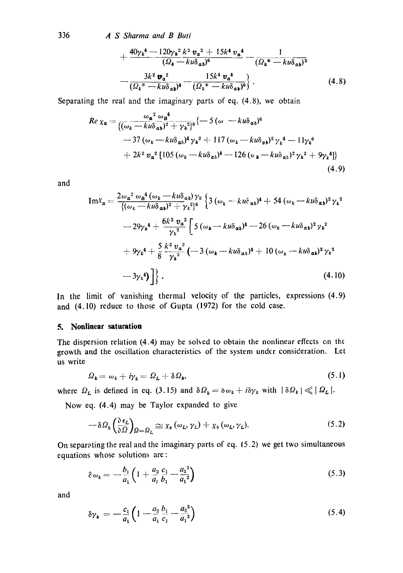336 *,4 S Sharma and B Buti* 

$$
+\frac{40\gamma_k^4 - 120\gamma_k^2 k^2 v_a^2 + 15k^4 v_a^4}{(\Omega_k - ku\delta_{ab})^6} - \frac{1}{(\Omega_k^* - ku\delta_{ab})^2}
$$

$$
-\frac{3k^2 v_a^2}{(\Omega_k^* - ku\delta_{ab})^4} - \frac{15k^4 v_a^4}{(\Omega_k^* - ku\delta_{ab})^6}.
$$
(4.8)

Separating the real and the imaginary parts of eq. (4.8), we obtain

$$
Re\ \chi_{a} = \frac{\omega_{a}^{2} \omega_{B}^{4}}{\{(\omega_{k} - ku\delta_{a b})^{2} + \gamma_{k}^{2}\}^{6}} \{-5 (\omega - ku\delta_{a b})^{6}\n+ 37 (\omega_{k} - ku\delta_{a b})^{4} \gamma_{k}^{2} + 117 (\omega_{k} - ku\delta_{a b})^{2} \gamma_{k}^{4} - 11 \gamma_{k}^{6}\n+ 2k^{2} \nu_{a}^{2} [105 (\omega_{k} - ku\delta_{a b})^{4} - 126 (\omega_{k} - ku\delta_{a b})^{2} \gamma_{k}^{2} + 9\gamma_{k}^{4}]\}\n+ 2k^{2} \nu_{a}^{2} [105 (\omega_{k} - ku\delta_{a b})^{4} - 126 (\omega_{k} - ku\delta_{a b})^{2} \gamma_{k}^{2} + 9\gamma_{k}^{4}]\n+ 4.9)
$$

and

$$
\begin{split} \text{Im}\chi_{\mathbf{a}} &= \frac{2\omega_{\mathbf{a}}^{2} \omega_{\mathbf{a}}^{4} (\omega_{k} - ku\delta_{\mathbf{a}\mathbf{b}}) \gamma_{k}}{\{(\omega_{k} - ku\delta_{\mathbf{a}\mathbf{b}})^{2} + \gamma_{k}\}^{3}\}} \left\{ 3 \left( \omega_{k} - ku\delta_{\mathbf{a}\mathbf{b}} \right)^{4} + 54 \left( \omega_{k} - ku\delta_{\mathbf{a}\mathbf{b}} \right)^{2} \gamma_{k}^{2} \\ &- 29\gamma_{k}^{4} + \frac{6k^{2} \nu_{\mathbf{a}}^{2}}{\gamma_{k}^{2}} \left[ 5 \left( \omega_{k} - ku\delta_{\mathbf{a}\mathbf{b}} \right)^{4} - 26 \left( \omega_{k} - ku\delta_{\mathbf{a}\mathbf{b}} \right)^{2} \gamma_{k}^{2} \right. \\ &\left. + 9\gamma_{k}^{4} + \frac{5}{8} \frac{k^{2} \nu_{\mathbf{a}}^{2}}{\gamma_{k}^{2}} \left( -3 \left( \omega_{k} - ku\delta_{\mathbf{a}\mathbf{b}} \right)^{4} + 10 \left( \omega_{k} - ku\delta_{\mathbf{a}\mathbf{b}} \right)^{2} \gamma_{k}^{2} \right. \\ &\left. - 3\gamma_{k}^{4} \right) \right] \right\} . \end{split} \tag{4.10}
$$

In the limit of vanishing thermal velocity of the particles, expressions (4.9) and (4.10) reduce to those of Gupta (1972) for the cold case.

# **5. Nonlinear saturation**

The dispersion relation (4.4) may be solved to obtain the nonlinear effects on the growth and the oscillation characteristics of the system under consideration. Let us write

$$
\Omega_{\mathbf{k}} = \omega_{\mathbf{k}} + i\gamma_{\mathbf{k}} = \Omega_{\mathbf{L}} + \delta\Omega_{\mathbf{k}},\tag{5.1}
$$

where  $\Omega_L$  is defined in eq. (3.15) and  $\delta \Omega_k = \delta \omega_k + i \delta \gamma_k$  with  $|\delta \Omega_k| \ll |\Omega_L|$ .

Now eq. (4.4) may be Taylor expanded to give

$$
-\delta\Omega_k\left(\frac{\partial\epsilon_L}{\partial\Omega}\right)_{\Omega=\Omega_L}\cong\chi_p\left(\omega_L,\gamma_L\right)+\chi_b\left(\omega_L,\gamma_L\right).
$$
\n(5.2)

On separating the real and the imaginary parts of eq. [5.2) we get two simultaneous equations whose solutions are:

$$
\delta \omega_k = -\frac{b_1}{a_1} \left( 1 + \frac{a_2}{a_1} \frac{c_1}{b_1} - \frac{a_2^3}{a_1^2} \right) \tag{5.3}
$$

and

$$
\delta \gamma_{k} = -\frac{c_{1}}{a_{1}} \left( 1 - \frac{a_{2}}{a_{1}} \frac{b_{1}}{c_{1}} - \frac{a_{2}^{2}}{a_{1}^{2}} \right) \tag{5.4}
$$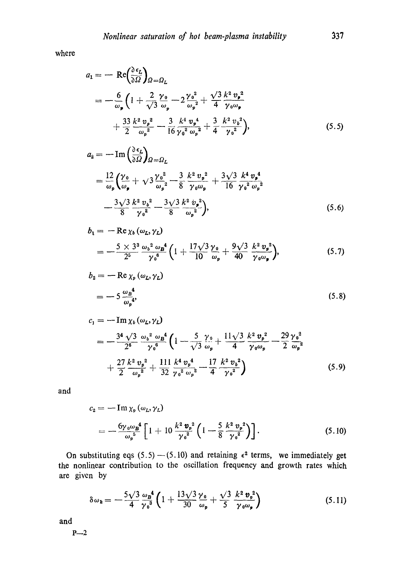where

$$
a_1 = -\operatorname{Re}\left(\frac{\partial \epsilon_L}{\partial \Omega}\right)_{\Omega = \Omega_L}
$$
  
=  $-\frac{6}{\omega_p} \left(1 + \frac{2}{\sqrt{3}} \frac{\gamma_0}{\omega_p} - 2 \frac{\gamma_0^2}{\omega_p^2} + \frac{\sqrt{3} k^2 v_p^2}{4 \gamma_0 \omega_p} + \frac{33}{2} \frac{k^2 v_p^2}{\omega_p^2} - \frac{3}{16} \frac{k^4 v_p^4}{\gamma_0^2 \omega_p^2} + \frac{3}{4} \frac{k^2 v_b^2}{\gamma_0^2},$  (5.5)

$$
a_2 = -\operatorname{Im}\left(\frac{\partial \epsilon_L}{\partial \Omega}\right)_{\Omega = \Omega_L}
$$
  
=  $\frac{12}{\omega_p} \left(\frac{\gamma_0}{\omega_p} + \sqrt{3} \frac{\gamma_0^2}{\omega_p^2} - \frac{3}{8} \frac{k^2 v_p^2}{\gamma_0 \omega_p} + \frac{3\sqrt{3} k^4 v_p^4}{16 \gamma_0^2 \omega_p^2} - \frac{3\sqrt{3} k^2 v_b^2}{8 \gamma_0^2} - \frac{3\sqrt{3} k^2 v_p^2}{8 \omega_p^2}\right),$  (5.6)

$$
b_1 = -\operatorname{Re}\chi_b(\omega_L, \gamma_L)
$$
  
=  $-\frac{5 \times 3^3}{2^5} \frac{\omega_b^2 \omega_B^4}{\gamma_0^6} \left(1 + \frac{17\sqrt{3}}{10} \frac{\gamma_0}{\omega_p} + \frac{9\sqrt{3}}{40} \frac{k^2 \nu_p^2}{\gamma_0 \omega_p}\right),$  (5.7)

$$
b_2 = -\operatorname{Re}\chi_p(\omega_L, \gamma_L)
$$
  
= 
$$
-5\frac{\omega_B^4}{\omega_p^4},
$$
 (5.8)

$$
c_{1} = -\operatorname{Im} \chi_{b} (\omega_{L}, \gamma_{L})
$$
\n
$$
= -\frac{3^{4} \sqrt{3}}{2^{6}} \frac{\omega_{b}^{2} \omega_{B}^{4}}{\gamma_{0}^{6}} \left( 1 - \frac{5}{\sqrt{3}} \frac{\gamma_{0}}{\omega_{p}} + \frac{11 \sqrt{3}}{4} \frac{k^{2} \nu_{p}^{2}}{\gamma_{0} \omega_{p}} - \frac{29}{2} \frac{\gamma_{0}^{2}}{\omega_{p}^{2}} + \frac{27}{2} \frac{k^{2} \nu_{p}^{2}}{\omega_{p}^{2}} + \frac{111}{32} \frac{k^{4} \nu_{p}^{4}}{\gamma_{0}^{2} \omega_{p}^{2}} - \frac{17}{4} \frac{k^{2} \nu_{b}^{2}}{\gamma_{0}^{2}} \right)
$$
\n(5.9)

and

$$
c_2 = -\operatorname{Im} \chi_{\mathfrak{p}}(\omega_L, \gamma_L)
$$
  
= 
$$
-\frac{6\gamma_0 \omega_B^4}{\omega_p^5} \left[1 + 10 \frac{k^2 \mathbf{v}_p^2}{\gamma_0^2} \left(1 - \frac{5}{8} \frac{k^2 \mathbf{v}_p^2}{\gamma_0^2}\right)\right].
$$
 (5.10)

On substituting eqs (5.5)  $-(5.10)$  and retaining  $\epsilon^2$  terms, we immediately get the nonlinear contribution to the oscillation frequency and growth rates which are given by

$$
\delta\omega_{\boldsymbol{k}} = -\frac{5\sqrt{3}}{4} \frac{\omega_{\boldsymbol{B}}^4}{\gamma_0^3} \left( 1 + \frac{13\sqrt{3}}{30} \frac{\gamma_0}{\omega_{\boldsymbol{p}}} + \frac{\sqrt{3}}{5} \frac{k^2 \boldsymbol{v}_{\boldsymbol{p}}^2}{\gamma_0 \omega_{\boldsymbol{p}}} \right) \tag{5.11}
$$

and

 $P - 2$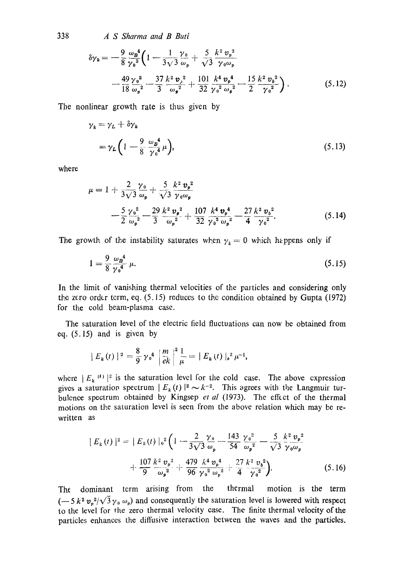338 *A S Sharma and B Buti* 

$$
\delta \gamma_{k} = -\frac{9}{8} \frac{\omega_{B}^{4}}{\gamma_{0}^{3}} \left( 1 - \frac{1}{3\sqrt{3}} \frac{\gamma_{0}}{\omega_{p}} + \frac{5}{\sqrt{3}} \frac{k^{2} \nu_{p}^{2}}{\gamma_{0} \omega_{p}} - \frac{49}{18} \frac{\gamma_{0}^{2}}{\omega_{p}^{2}} - \frac{37}{3} \frac{k^{2} \nu_{2}^{2}}{\omega_{p}^{2}} + \frac{101}{32} \frac{k^{4} \nu_{p}^{4}}{\gamma_{0}^{2} \omega_{p}^{2}} - \frac{15}{2} \frac{k^{2} \nu_{b}^{2}}{\gamma_{0}^{2}} \right).
$$
 (5.12)

The nonlinear growth rate is thus given by

$$
\gamma_k = \gamma_L + \delta \gamma_k
$$
  
=  $\gamma_L \left( 1 - \frac{9}{8} \frac{\omega_B^4}{\gamma_0^4} \mu \right),$  (5.13)

where

$$
\mu = 1 + \frac{2}{3\sqrt{3}} \frac{\gamma_0}{\omega_p} + \frac{5}{\sqrt{3}} \frac{k^2 v_p^2}{\gamma_0 \omega_p}
$$
  
 
$$
- \frac{5}{2} \frac{\gamma_0^2}{\omega_p^2} - \frac{29}{3} \frac{k^2 v_p^2}{\omega_p^2} + \frac{107}{32} \frac{k^4 v_p^4}{\gamma_0^2 \omega_p^2} - \frac{27}{4} \frac{k^2 v_b^2}{\gamma_0^2}.
$$
 (5.14)

The growth of the instability saturates when  $\gamma_k = 0$  which happens only if

$$
1 = \frac{9}{8} \frac{\omega_B^4}{\gamma_0^4} \mu. \tag{5.15}
$$

In the limit of vanishing thermal velocities of the particles and considering only the zero order term, eq. (5.15) reduces to the condition obtained by Gupta (1972) for the cold beam-plasma case.

The saturation level of the electric field fluctuations can now be obtained from eq. (5.15) and is given by

$$
|E_k(t)|^2 = \frac{8}{9} \gamma_0^4 \left| \frac{m}{ek} \right|^2 \frac{1}{\mu} = |E_k(t)|_0^2 \mu^{-1},
$$

where  $|E_{\kappa}^{(\ell)}|^2$  is the saturation level for the cold case. The above expression gives a saturation spectrum  $| E_k(t) |^2 \sim k^{-2}$ . This agrees with the Langmuir turbulence spectrum obtained by Kingsep *et al* (1973). The effect of the thermal motions on the saturation level is seen from the above relation which may be rewritten as

$$
|E_{k}(t)|^{2} = |E_{k}(t)|_{0}^{2} \left(1 - \frac{2}{3\sqrt{3}} \frac{\gamma_{0}}{\omega_{p}} - \frac{143}{54} \frac{\gamma_{0}^{2}}{\omega_{p}^{2}} - \frac{5}{\sqrt{3}} \frac{k^{2} v_{p}^{2}}{\gamma_{0} \omega_{p}} + \frac{107}{9} \frac{k^{2} v_{p}^{2}}{\omega_{p}^{2}} + \frac{479}{96} \frac{k^{4} v_{p}^{4}}{\gamma_{0}^{2} \omega_{p}^{2}} + \frac{27}{4} \frac{k^{2} v_{b}^{2}}{\gamma_{0}^{2}} \right).
$$
 (5.16)

The dominant term arising from the thermal motion is the term  $(-5 k^2 v_a^2/\sqrt{3} \gamma_0 \omega_p)$  and consequently the saturation level is lowered with respect to the level for the zero thermal velocity case. The finite thermal velocity of the particles enhances the diffusive interaction between the waves and the particles.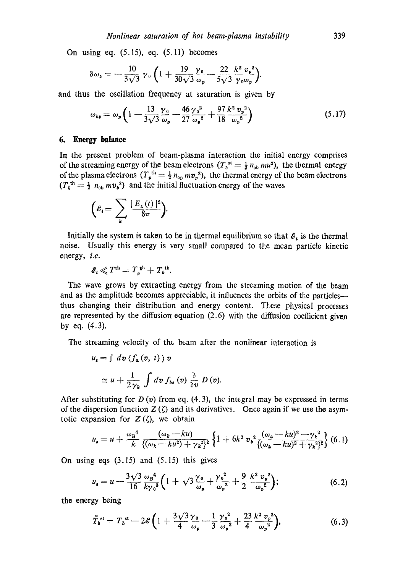On using eq. (5.15), eq. (5.11) becomes

$$
\delta \omega_{k} = -\frac{10}{3\sqrt{3}} \gamma_{0} \left( 1 + \frac{19}{30\sqrt{3}} \frac{\gamma_{0}}{\omega_{p}} - \frac{22}{5\sqrt{3}} \frac{k^{2} v_{p}^{2}}{\gamma_{0} \omega_{p}} \right).
$$

and thus the oscillation frequency at saturation is given by

$$
\omega_{k\theta} = \omega_p \left( 1 - \frac{13}{3\sqrt{3}} \frac{\gamma_0}{\omega_p} - \frac{46}{27} \frac{\gamma_0^2}{\omega_p^2} + \frac{97}{18} \frac{k^2 v_p^2}{\omega_p^2} \right) \tag{5.17}
$$

#### **6. Energy balance**

In the present problem of beam-plasma interaction the initial energy comprises of the streaming energy of the beam electrons  $(T_b^{st} = \frac{1}{2} n_{ob} m u^2)$ , the thermal energy of the plasma electrons  $(T_p^{th} = \frac{1}{2} n_{op} m v_p^2)$ , the thermal energy of the beam electrons  $(T_b^{\text{th}} = \frac{1}{2} n_{\text{ob}} m v_b^2)$  and the initial fluctuation energy of the waves

$$
\left(\mathscr{E}_{i}=\sum_{k}\frac{\mid E_{k}(t)\mid^{2}}{8\pi}\right).
$$

Initially the system is taken to be in thermal equilibrium so that  $\mathcal{E}_i$  is the thermal noise. Usually this energy is very small compared to the mean particle kinetic energy, *i.e.* 

$$
\mathcal{E}_{\mathbf{i}} \ll T^{\text{th}} = T_{p}^{\text{ th}} + T_{b}^{\text{ th}}.
$$

The wave grows by extracting energy from the streaming motion of the beam and as the amplitude becomes appreciable, it influences the orbits of the particles thus changing their distribution and energy content. These physical processes are represented by the diffusion equation  $(2.6)$  with the diffusion coefficient given by eq. (4.3).

The streaming velocity of the beam after the nonlinear interaction is

$$
u_{\bullet} = \int dv \langle f_{a}(v, t) \rangle v
$$
  
 
$$
\simeq u + \frac{1}{2 \gamma_{\nu}} \int dv f_{b_{\theta}}(v) \frac{\partial}{\partial v} D(v).
$$

After substituting for  $D(v)$  from eq. (4.3), the integral may be expressed in terms of the dispersion function  $Z(\zeta)$  and its derivatives. Once again if we use the asymtotic expansion for  $Z(\zeta)$ , we obtain

$$
u_{s} = u + \frac{\omega_{B}^{4}}{k} \frac{(\omega_{k} - ku)}{\{(\omega_{k} - ku^{2}) + \gamma_{k}^{2}\}^{2}} \left\{ 1 + 6k^{2} v_{b}^{2} \frac{(\omega_{k} - ku)^{2} - \gamma_{k}^{2}}{\{(\omega_{k} - ku)^{2} + \gamma_{k}^{2}\}^{2}} \right\} (6.1)
$$

On using eqs (3.15) and (5.15) this gives

$$
u_{\bullet} = u - \frac{3\sqrt{3}}{16} \frac{\omega_B^4}{k y_0^3} \left( 1 + \sqrt{3} \frac{\gamma_0}{\omega_p} + \frac{\gamma_0^2}{\omega_p^2} + \frac{9}{2} \frac{k^2 v_p^2}{\omega_p^2} \right); \tag{6.2}
$$

the energy being

$$
\tilde{T}_b^{\text{st}} = T_b^{\text{st}} - 2\mathscr{E} \bigg( 1 + \frac{3\sqrt{3}}{4} \frac{\gamma_0}{\omega_p} - \frac{1}{3} \frac{\gamma_0^2}{\omega_p^2} + \frac{23}{4} \frac{k^2 v_p^2}{\omega_p^2} \bigg), \tag{6.3}
$$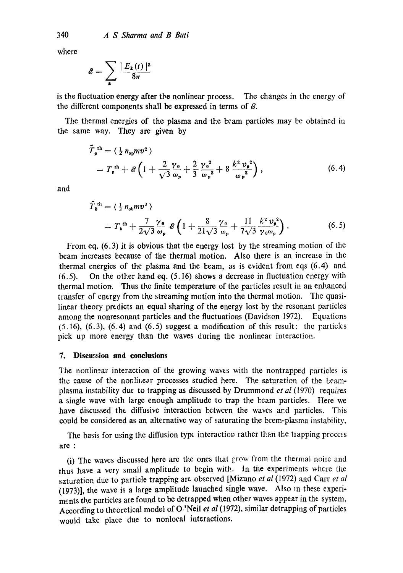where

$$
\mathscr{E} = \sum_{\mathbf{k}} \frac{|E_{\mathbf{k}}(t)|^2}{8\pi}
$$

is the fluctuation energy after the nonlinear process. The changes in the energy of the different components shall be expressed in terms of  $\mathcal{E}$ .

The thermal energies of the plasma and the beam particles may be obtained in the same way. They are given by

$$
\tilde{T}_{p}^{\text{th}} = \langle \frac{1}{2} n_{op} m v^{2} \rangle
$$
\n
$$
= T_{p}^{\text{th}} + \mathcal{E} \left( 1 + \frac{2}{\sqrt{3}} \frac{\gamma_{0}}{\omega_{p}} + \frac{2}{3} \frac{\gamma_{0}^{2}}{\omega_{p}^{2}} + 8 \frac{k^{2} v_{p}^{2}}{\omega_{p}^{2}} \right),
$$
\n(6.4)

and

$$
\tilde{T}_{\mathbf{b}}^{\text{th}} = \langle \frac{1}{2} n_{\text{ob}} m v^2 \rangle
$$
\n
$$
= T_{\mathbf{b}}^{\text{th}} + \frac{7}{2\sqrt{3}} \frac{\gamma_0}{\omega_p} \mathcal{E} \left( 1 + \frac{8}{21\sqrt{3}} \frac{\gamma_0}{\omega_p} + \frac{11}{7\sqrt{3}} \frac{k^2 v_p^2}{\gamma_0 \omega_p} \right). \tag{6.5}
$$

From eq. (6.3) it is obvious that the energy lost by the streaming motion of the beam increases because of the thermal motion. Also there is an increase in the thermal energies of the plasma and the beam, as is evident from eqs (6.4) and (6.5). On the other hand eq. (5.16) shows a decrease in fluctuation energy with thermal motion. Thus the finite temperature of the particles result in an enhanced transfer of energy from the streaming motion into the thermal motion. The quasilinear theory predicts an equal sharing of the energy lost by the resonant particles among the nonresonant particles and the fluctuations (Davidson 1972). Equations  $(5.16)$ ,  $(6.3)$ ,  $(6.4)$  and  $(6.5)$  suggest a modification of this result: the particles pick up more energy than the waves during the nonlinear interaction.

### **7. Discussion and conclusions**

The nonlinear interaction of the growing waves with the nontrapped particles is the cause of the nonlinear processes studied here. The saturation of the beamplasma instability due to trapping as discussed by Drummond *et al* (1970) requires a single wave with large enough amplitude to trap the beam particles. Here we have discussed the diffusive interaction between the waves and particles. This could be considered as an alternative way of saturating the beem-plasma instability.

The basis for using the diffusion type interaction rather than the trapping process are :

(i) The waves discussed here arc the ones that grow from the thermal noise and thus have a very small amplitude to begin with. In the experiments where the saturation due to particle trapping are observed [Mizuno *et al* (1972) and Carr *et al*  (1973)], the wave is a large amplitude launched single wave. Also In these experiments the particles are found to be detrapped when other waves appear in the system. According to the oretical model of O.'Neil *et al* (1972), similar detrapping of particles would take place due to nonlocal interactions.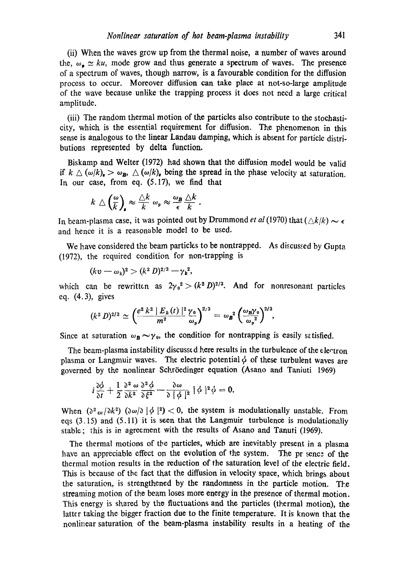(ii) Wb.en the waves grcw up from the thermal noise, a number of waves around the,  $\omega_{\bullet} \simeq ku$ , mode grow and thus generate a spectrum of waves. The presence of a spectrum of waves, though narrow, is a favourable condition for the diffusion process to occur. Moreover diffusion can take place at not-so-large amplitude of the wave because unlike the trapping process it does not necd a large critical amplitude.

(iii) The random thermal motion of the particles also contribute to the stochasticity, which is the essential requirement for diffusion. The phenomenon in this sense is analogous to the linear Landau damping, which is absent for particle distributions represented by delta function.

Biskamp and Welter (1972) had shown that the diffusion model would be valid if  $k \triangle ( \omega/k)_a > \omega_B$ ,  $\triangle (\omega/k)_a$  being the spread in the phase velocity at saturation. In our case, from eq. (5.17), we find that

$$
k \bigtriangleup \left(\frac{\omega}{k}\right)_{\!\!\mathbf{s}} \approx \frac{\bigtriangleup k}{k} \omega_{\mathbf{p}} \approx \frac{\omega_{\mathbf{B}}}{\epsilon} \frac{\bigtriangleup k}{k}
$$

In beam-plasma case, it was pointed out by Drummond *et al* (1970) that  $(Ak/k) \sim \epsilon$ and hence it is a reasonable model to be used.

We have considered the beam particles to be nontrapped. As discussed by Gupta (1972), the required condition for non-trapping is

$$
(kv - \omega_k)^2 > (k^2 D)^{2/3} - \gamma_k^2,
$$

which can be rewritten as  $2\gamma_0^2 > (k^2 D)^{2/3}$ . And for nonresonant particles eq. (4.3), gives

$$
(k^2 D)^{2/3} \simeq \left(\frac{e^2 k^2 |E_k(t)|^2 \gamma_0}{m^2} \frac{\gamma_0}{\omega_p}\right)^{2/3} = \omega_B^2 \left(\frac{\omega_B \gamma_0}{\omega_p^2}\right)^{2/3},
$$

Since at saturation  $\omega_B \sim \gamma_0$ , the condition for nontrapping is easily satisfied.

The beam-plasma instability discussed here results in the turbulence of the electron plasma or Langmuir waves. The electric potential  $\phi$  of these turbulent waves are governed by the nonlinear Schröedinger equation (Asano and Taniuti 1969)

$$
i\frac{\partial\phi}{\partial t}+\frac{1}{2}\frac{\partial^2\omega}{\partial k^2}\frac{\partial^2\phi}{\partial \xi^2}-\frac{\partial\omega}{\partial|\phi|^2}|\phi|^2\phi=0.
$$

When  $(\partial^2 \omega/\partial k^2)$   $(\partial \omega/\partial |\phi|^2)$  < 0, the system is modulationally unstable. From eqs (3.15) and (5.11) it is seen that the Langmuir turbulence is modulationally stable; this is in agreement with the results of Asano and Tanuti (1969).

The thermal motions of the particles, which are inevitably present in a plasma have an appreciable effect on the evolution of the system. The pr sence of the thermal motion results in the reduction of the saturation level of the electric field. This is because of the fact that the diffusion in velocity space, which brings about the saturation, is strengthened by the randomness in the particle motion. The streaming motion of the beam loses more energy in the presence of thermal motion. This energy is shared by the fluctuations and the particles (thermal motion), the latter taking the bigger fraction due to the finite temperature. It is known that the nonlinear saturation of the beam-plasma instability results in a heating of the